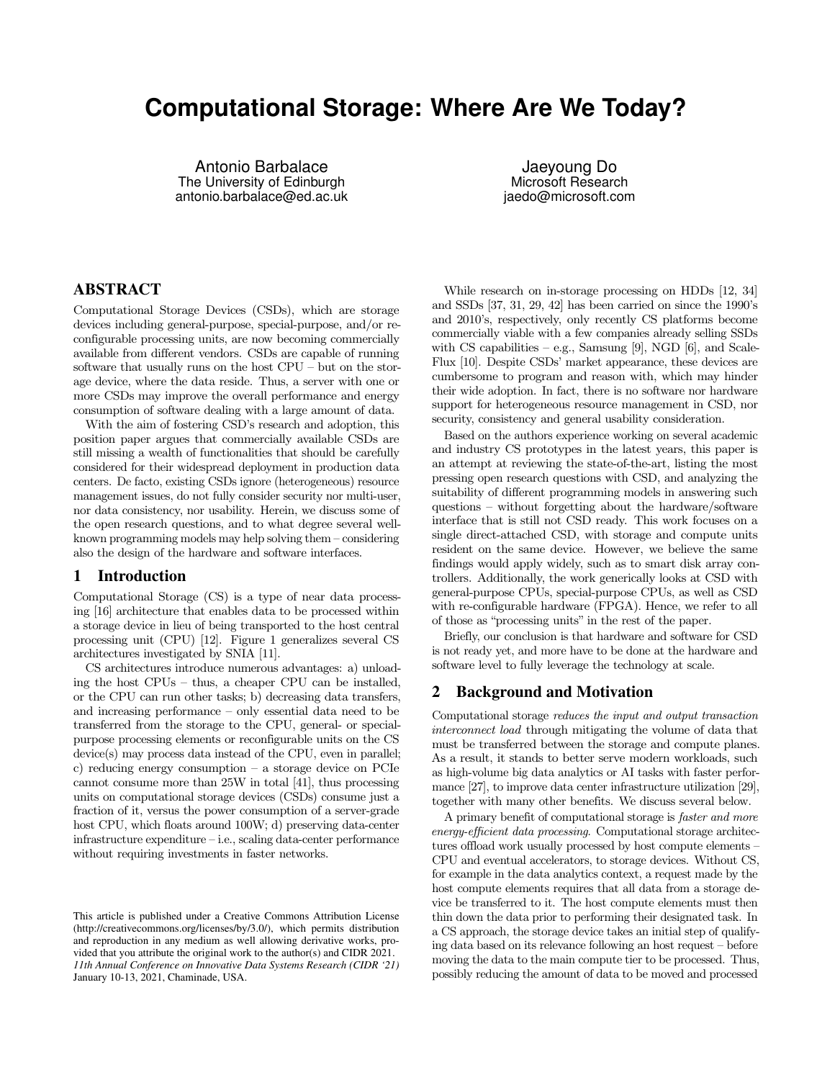# **Computational Storage: Where Are We Today?**

Antonio Barbalace The University of Edinburgh antonio.barbalace@ed.ac.uk

Jaeyoung Do Microsoft Research jaedo@microsoft.com

# ABSTRACT

Computational Storage Devices (CSDs), which are storage devices including general-purpose, special-purpose, and/or reconfigurable processing units, are now becoming commercially available from different vendors. CSDs are capable of running software that usually runs on the host CPU – but on the storage device, where the data reside. Thus, a server with one or more CSDs may improve the overall performance and energy consumption of software dealing with a large amount of data.

With the aim of fostering CSD's research and adoption, this position paper argues that commercially available CSDs are still missing a wealth of functionalities that should be carefully considered for their widespread deployment in production data centers. De facto, existing CSDs ignore (heterogeneous) resource management issues, do not fully consider security nor multi-user, nor data consistency, nor usability. Herein, we discuss some of the open research questions, and to what degree several wellknown programming models may help solving them – considering also the design of the hardware and software interfaces.

#### 1 Introduction

Computational Storage (CS) is a type of near data processing [16] architecture that enables data to be processed within a storage device in lieu of being transported to the host central processing unit (CPU) [12]. Figure 1 generalizes several CS architectures investigated by SNIA [11].

CS architectures introduce numerous advantages: a) unloading the host CPUs – thus, a cheaper CPU can be installed, or the CPU can run other tasks; b) decreasing data transfers, and increasing performance – only essential data need to be transferred from the storage to the CPU, general- or specialpurpose processing elements or reconfigurable units on the CS device(s) may process data instead of the CPU, even in parallel; c) reducing energy consumption – a storage device on PCIe cannot consume more than 25W in total [41], thus processing units on computational storage devices (CSDs) consume just a fraction of it, versus the power consumption of a server-grade host CPU, which floats around 100W; d) preserving data-center infrastructure expenditure – i.e., scaling data-center performance without requiring investments in faster networks.

While research on in-storage processing on HDDs [12, 34] and SSDs [37, 31, 29, 42] has been carried on since the 1990's and 2010's, respectively, only recently CS platforms become commercially viable with a few companies already selling SSDs with CS capabilities – e.g., Samsung  $[9]$ , NGD  $[6]$ , and Scale-Flux [10]. Despite CSDs' market appearance, these devices are cumbersome to program and reason with, which may hinder their wide adoption. In fact, there is no software nor hardware support for heterogeneous resource management in CSD, nor security, consistency and general usability consideration.

Based on the authors experience working on several academic and industry CS prototypes in the latest years, this paper is an attempt at reviewing the state-of-the-art, listing the most pressing open research questions with CSD, and analyzing the suitability of different programming models in answering such questions – without forgetting about the hardware/software interface that is still not CSD ready. This work focuses on a single direct-attached CSD, with storage and compute units resident on the same device. However, we believe the same findings would apply widely, such as to smart disk array controllers. Additionally, the work generically looks at CSD with general-purpose CPUs, special-purpose CPUs, as well as CSD with re-configurable hardware (FPGA). Hence, we refer to all of those as "processing units" in the rest of the paper.

Briefly, our conclusion is that hardware and software for CSD is not ready yet, and more have to be done at the hardware and software level to fully leverage the technology at scale.

#### 2 Background and Motivation

Computational storage reduces the input and output transaction interconnect load through mitigating the volume of data that must be transferred between the storage and compute planes. As a result, it stands to better serve modern workloads, such as high-volume big data analytics or AI tasks with faster performance [27], to improve data center infrastructure utilization [29], together with many other benefits. We discuss several below.

A primary benefit of computational storage is faster and more energy-efficient data processing. Computational storage architectures offload work usually processed by host compute elements – CPU and eventual accelerators, to storage devices. Without CS, for example in the data analytics context, a request made by the host compute elements requires that all data from a storage device be transferred to it. The host compute elements must then thin down the data prior to performing their designated task. In a CS approach, the storage device takes an initial step of qualifying data based on its relevance following an host request – before moving the data to the main compute tier to be processed. Thus, possibly reducing the amount of data to be moved and processed

This article is published under a Creative Commons Attribution License (http://creativecommons.org/licenses/by/3.0/), which permits distribution and reproduction in any medium as well allowing derivative works, provided that you attribute the original work to the author(s) and CIDR 2021. *11th Annual Conference on Innovative Data Systems Research (CIDR '21)* January 10-13, 2021, Chaminade, USA.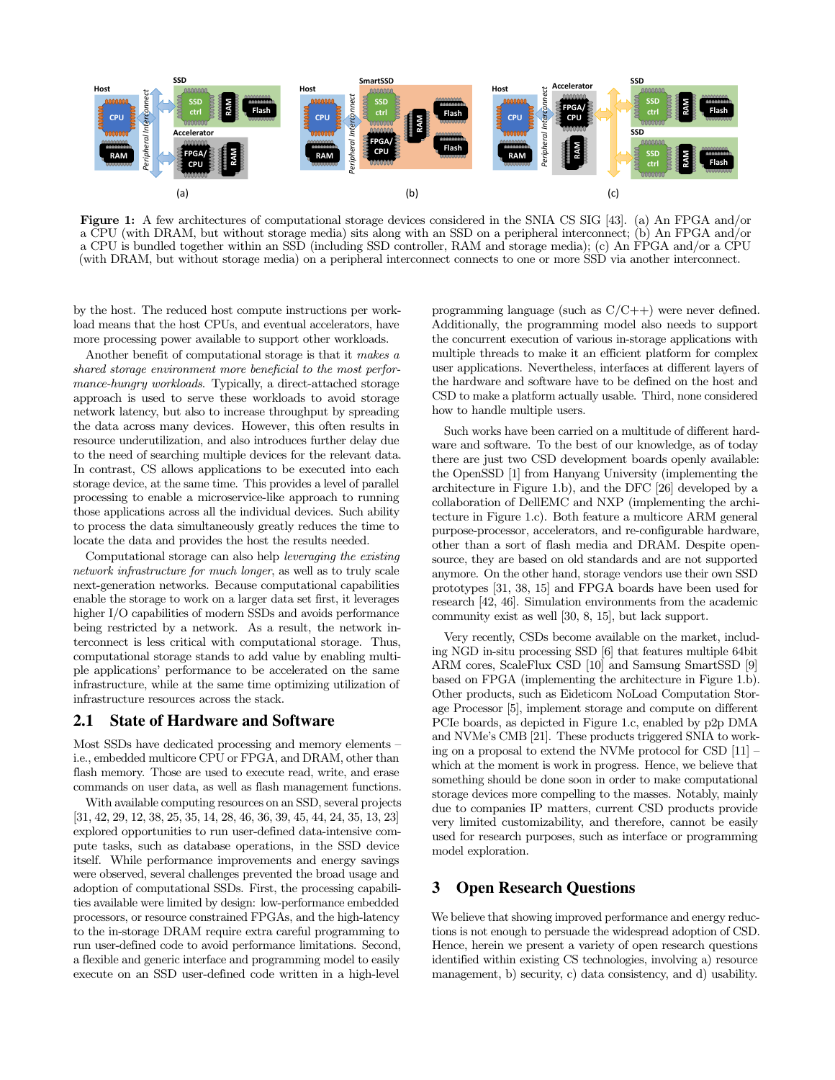

Figure 1: A few architectures of computational storage devices considered in the SNIA CS SIG [43]. (a) An FPGA and/or a CPU (with DRAM, but without storage media) sits along with an SSD on a peripheral interconnect; (b) An FPGA and/or a CPU is bundled together within an SSD (including SSD controller, RAM and storage media); (c) An FPGA and/or a CPU (with DRAM, but without storage media) on a peripheral interconnect connects to one or more SSD via another interconnect.

by the host. The reduced host compute instructions per workload means that the host CPUs, and eventual accelerators, have more processing power available to support other workloads.

Another benefit of computational storage is that it makes a shared storage environment more beneficial to the most performance-hungry workloads. Typically, a direct-attached storage approach is used to serve these workloads to avoid storage network latency, but also to increase throughput by spreading the data across many devices. However, this often results in resource underutilization, and also introduces further delay due to the need of searching multiple devices for the relevant data. In contrast, CS allows applications to be executed into each storage device, at the same time. This provides a level of parallel processing to enable a microservice-like approach to running those applications across all the individual devices. Such ability to process the data simultaneously greatly reduces the time to locate the data and provides the host the results needed.

Computational storage can also help leveraging the existing network infrastructure for much longer, as well as to truly scale next-generation networks. Because computational capabilities enable the storage to work on a larger data set first, it leverages higher I/O capabilities of modern SSDs and avoids performance being restricted by a network. As a result, the network interconnect is less critical with computational storage. Thus, computational storage stands to add value by enabling multiple applications' performance to be accelerated on the same infrastructure, while at the same time optimizing utilization of infrastructure resources across the stack.

## 2.1 State of Hardware and Software

Most SSDs have dedicated processing and memory elements – i.e., embedded multicore CPU or FPGA, and DRAM, other than flash memory. Those are used to execute read, write, and erase commands on user data, as well as flash management functions.

With available computing resources on an SSD, several projects [31, 42, 29, 12, 38, 25, 35, 14, 28, 46, 36, 39, 45, 44, 24, 35, 13, 23] explored opportunities to run user-defined data-intensive compute tasks, such as database operations, in the SSD device itself. While performance improvements and energy savings were observed, several challenges prevented the broad usage and adoption of computational SSDs. First, the processing capabilities available were limited by design: low-performance embedded processors, or resource constrained FPGAs, and the high-latency to the in-storage DRAM require extra careful programming to run user-defined code to avoid performance limitations. Second, a flexible and generic interface and programming model to easily execute on an SSD user-defined code written in a high-level

programming language (such as C/C++) were never defined. Additionally, the programming model also needs to support the concurrent execution of various in-storage applications with multiple threads to make it an efficient platform for complex user applications. Nevertheless, interfaces at different layers of the hardware and software have to be defined on the host and CSD to make a platform actually usable. Third, none considered how to handle multiple users.

Such works have been carried on a multitude of different hardware and software. To the best of our knowledge, as of today there are just two CSD development boards openly available: the OpenSSD [1] from Hanyang University (implementing the architecture in Figure 1.b), and the DFC [26] developed by a collaboration of DellEMC and NXP (implementing the architecture in Figure 1.c). Both feature a multicore ARM general purpose-processor, accelerators, and re-configurable hardware, other than a sort of flash media and DRAM. Despite opensource, they are based on old standards and are not supported anymore. On the other hand, storage vendors use their own SSD prototypes [31, 38, 15] and FPGA boards have been used for research [42, 46]. Simulation environments from the academic community exist as well [30, 8, 15], but lack support.

Very recently, CSDs become available on the market, including NGD in-situ processing SSD [6] that features multiple 64bit ARM cores, ScaleFlux CSD [10] and Samsung SmartSSD [9] based on FPGA (implementing the architecture in Figure 1.b). Other products, such as Eideticom NoLoad Computation Storage Processor [5], implement storage and compute on different PCIe boards, as depicted in Figure 1.c, enabled by p2p DMA and NVMe's CMB [21]. These products triggered SNIA to working on a proposal to extend the NVMe protocol for CSD [11] – which at the moment is work in progress. Hence, we believe that something should be done soon in order to make computational storage devices more compelling to the masses. Notably, mainly due to companies IP matters, current CSD products provide very limited customizability, and therefore, cannot be easily used for research purposes, such as interface or programming model exploration.

## 3 Open Research Questions

We believe that showing improved performance and energy reductions is not enough to persuade the widespread adoption of CSD. Hence, herein we present a variety of open research questions identified within existing CS technologies, involving a) resource management, b) security, c) data consistency, and d) usability.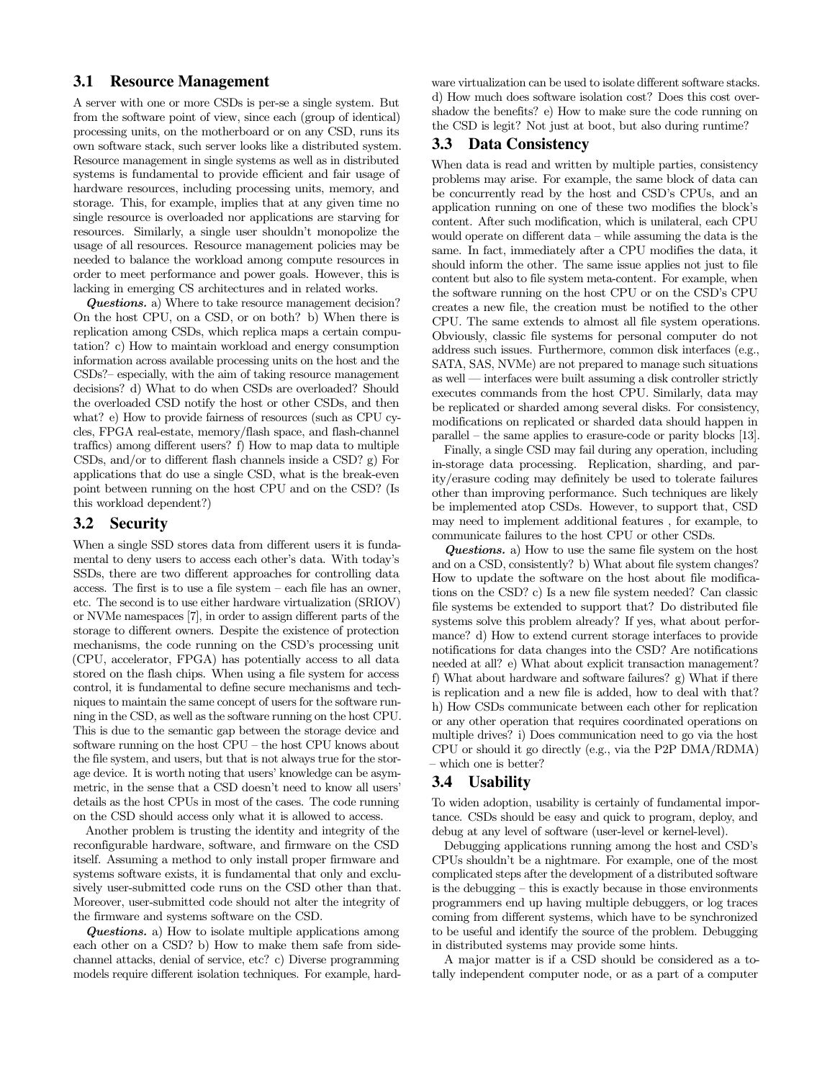# 3.1 Resource Management

A server with one or more CSDs is per-se a single system. But from the software point of view, since each (group of identical) processing units, on the motherboard or on any CSD, runs its own software stack, such server looks like a distributed system. Resource management in single systems as well as in distributed systems is fundamental to provide efficient and fair usage of hardware resources, including processing units, memory, and storage. This, for example, implies that at any given time no single resource is overloaded nor applications are starving for resources. Similarly, a single user shouldn't monopolize the usage of all resources. Resource management policies may be needed to balance the workload among compute resources in order to meet performance and power goals. However, this is lacking in emerging CS architectures and in related works.

**Questions.** a) Where to take resource management decision? On the host CPU, on a CSD, or on both? b) When there is replication among CSDs, which replica maps a certain computation? c) How to maintain workload and energy consumption information across available processing units on the host and the CSDs?– especially, with the aim of taking resource management decisions? d) What to do when CSDs are overloaded? Should the overloaded CSD notify the host or other CSDs, and then what? e) How to provide fairness of resources (such as CPU cycles, FPGA real-estate, memory/flash space, and flash-channel traffics) among different users? f) How to map data to multiple CSDs, and/or to different flash channels inside a CSD? g) For applications that do use a single CSD, what is the break-even point between running on the host CPU and on the CSD? (Is this workload dependent?)

#### 3.2 Security

When a single SSD stores data from different users it is fundamental to deny users to access each other's data. With today's SSDs, there are two different approaches for controlling data access. The first is to use a file system – each file has an owner, etc. The second is to use either hardware virtualization (SRIOV) or NVMe namespaces [7], in order to assign different parts of the storage to different owners. Despite the existence of protection mechanisms, the code running on the CSD's processing unit (CPU, accelerator, FPGA) has potentially access to all data stored on the flash chips. When using a file system for access control, it is fundamental to define secure mechanisms and techniques to maintain the same concept of users for the software running in the CSD, as well as the software running on the host CPU. This is due to the semantic gap between the storage device and software running on the host CPU – the host CPU knows about the file system, and users, but that is not always true for the storage device. It is worth noting that users' knowledge can be asymmetric, in the sense that a CSD doesn't need to know all users' details as the host CPUs in most of the cases. The code running on the CSD should access only what it is allowed to access.

Another problem is trusting the identity and integrity of the reconfigurable hardware, software, and firmware on the CSD itself. Assuming a method to only install proper firmware and systems software exists, it is fundamental that only and exclusively user-submitted code runs on the CSD other than that. Moreover, user-submitted code should not alter the integrity of the firmware and systems software on the CSD.

Questions. a) How to isolate multiple applications among each other on a CSD? b) How to make them safe from sidechannel attacks, denial of service, etc? c) Diverse programming models require different isolation techniques. For example, hardware virtualization can be used to isolate different software stacks. d) How much does software isolation cost? Does this cost overshadow the benefits? e) How to make sure the code running on the CSD is legit? Not just at boot, but also during runtime?

#### 3.3 Data Consistency

When data is read and written by multiple parties, consistency problems may arise. For example, the same block of data can be concurrently read by the host and CSD's CPUs, and an application running on one of these two modifies the block's content. After such modification, which is unilateral, each CPU would operate on different data – while assuming the data is the same. In fact, immediately after a CPU modifies the data, it should inform the other. The same issue applies not just to file content but also to file system meta-content. For example, when the software running on the host CPU or on the CSD's CPU creates a new file, the creation must be notified to the other CPU. The same extends to almost all file system operations. Obviously, classic file systems for personal computer do not address such issues. Furthermore, common disk interfaces (e.g., SATA, SAS, NVMe) are not prepared to manage such situations as well — interfaces were built assuming a disk controller strictly executes commands from the host CPU. Similarly, data may be replicated or sharded among several disks. For consistency, modifications on replicated or sharded data should happen in parallel – the same applies to erasure-code or parity blocks [13].

Finally, a single CSD may fail during any operation, including in-storage data processing. Replication, sharding, and parity/erasure coding may definitely be used to tolerate failures other than improving performance. Such techniques are likely be implemented atop CSDs. However, to support that, CSD may need to implement additional features , for example, to communicate failures to the host CPU or other CSDs.

Questions. a) How to use the same file system on the host and on a CSD, consistently? b) What about file system changes? How to update the software on the host about file modifications on the CSD? c) Is a new file system needed? Can classic file systems be extended to support that? Do distributed file systems solve this problem already? If yes, what about performance? d) How to extend current storage interfaces to provide notifications for data changes into the CSD? Are notifications needed at all? e) What about explicit transaction management? f) What about hardware and software failures? g) What if there is replication and a new file is added, how to deal with that? h) How CSDs communicate between each other for replication or any other operation that requires coordinated operations on multiple drives? i) Does communication need to go via the host CPU or should it go directly (e.g., via the P2P DMA/RDMA) – which one is better?

#### 3.4 Usability

To widen adoption, usability is certainly of fundamental importance. CSDs should be easy and quick to program, deploy, and debug at any level of software (user-level or kernel-level).

Debugging applications running among the host and CSD's CPUs shouldn't be a nightmare. For example, one of the most complicated steps after the development of a distributed software is the debugging – this is exactly because in those environments programmers end up having multiple debuggers, or log traces coming from different systems, which have to be synchronized to be useful and identify the source of the problem. Debugging in distributed systems may provide some hints.

A major matter is if a CSD should be considered as a totally independent computer node, or as a part of a computer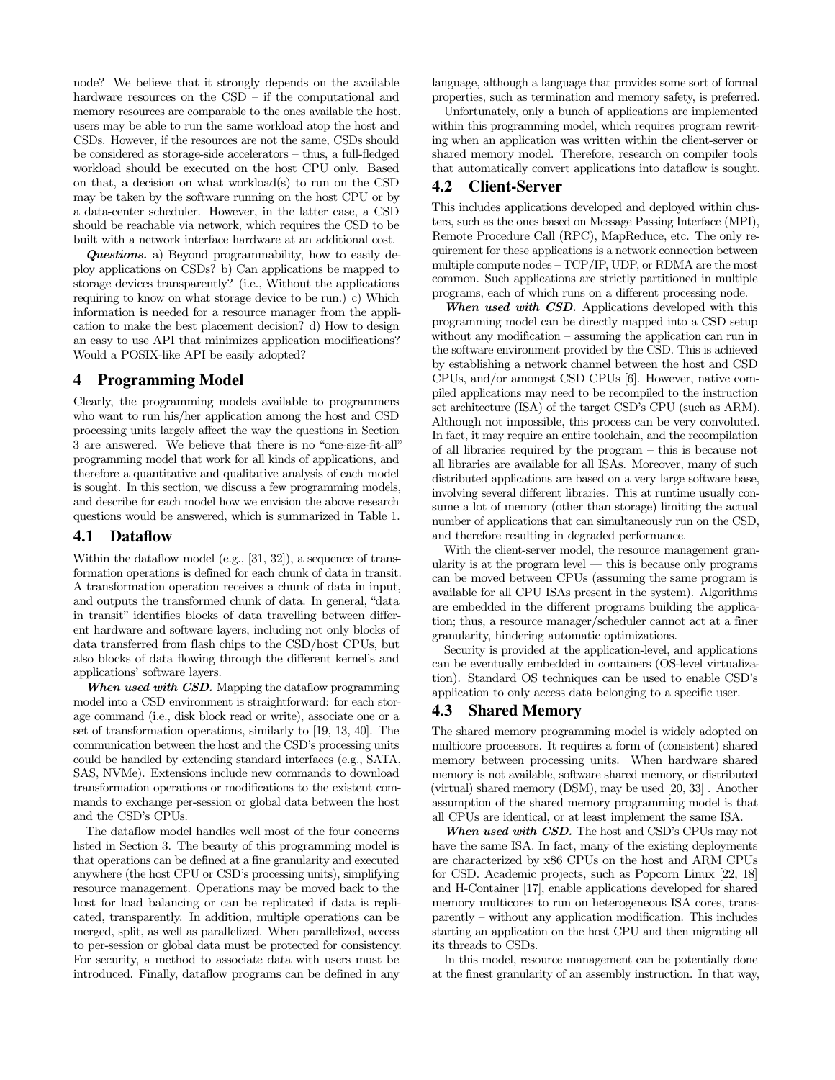node? We believe that it strongly depends on the available hardware resources on the CSD – if the computational and memory resources are comparable to the ones available the host, users may be able to run the same workload atop the host and CSDs. However, if the resources are not the same, CSDs should be considered as storage-side accelerators – thus, a full-fledged workload should be executed on the host CPU only. Based on that, a decision on what workload(s) to run on the CSD may be taken by the software running on the host CPU or by a data-center scheduler. However, in the latter case, a CSD should be reachable via network, which requires the CSD to be built with a network interface hardware at an additional cost.

Questions. a) Beyond programmability, how to easily deploy applications on CSDs? b) Can applications be mapped to storage devices transparently? (i.e., Without the applications requiring to know on what storage device to be run.) c) Which information is needed for a resource manager from the application to make the best placement decision? d) How to design an easy to use API that minimizes application modifications? Would a POSIX-like API be easily adopted?

# 4 Programming Model

Clearly, the programming models available to programmers who want to run his/her application among the host and CSD processing units largely affect the way the questions in Section 3 are answered. We believe that there is no "one-size-fit-all" programming model that work for all kinds of applications, and therefore a quantitative and qualitative analysis of each model is sought. In this section, we discuss a few programming models, and describe for each model how we envision the above research questions would be answered, which is summarized in Table 1.

#### 4.1 Dataflow

Within the dataflow model (e.g., [31, 32]), a sequence of transformation operations is defined for each chunk of data in transit. A transformation operation receives a chunk of data in input, and outputs the transformed chunk of data. In general, "data in transit" identifies blocks of data travelling between different hardware and software layers, including not only blocks of data transferred from flash chips to the CSD/host CPUs, but also blocks of data flowing through the different kernel's and applications' software layers.

When used with CSD. Mapping the dataflow programming model into a CSD environment is straightforward: for each storage command (i.e., disk block read or write), associate one or a set of transformation operations, similarly to [19, 13, 40]. The communication between the host and the CSD's processing units could be handled by extending standard interfaces (e.g., SATA, SAS, NVMe). Extensions include new commands to download transformation operations or modifications to the existent commands to exchange per-session or global data between the host and the CSD's CPUs.

The dataflow model handles well most of the four concerns listed in Section 3. The beauty of this programming model is that operations can be defined at a fine granularity and executed anywhere (the host CPU or CSD's processing units), simplifying resource management. Operations may be moved back to the host for load balancing or can be replicated if data is replicated, transparently. In addition, multiple operations can be merged, split, as well as parallelized. When parallelized, access to per-session or global data must be protected for consistency. For security, a method to associate data with users must be introduced. Finally, dataflow programs can be defined in any

language, although a language that provides some sort of formal properties, such as termination and memory safety, is preferred.

Unfortunately, only a bunch of applications are implemented within this programming model, which requires program rewriting when an application was written within the client-server or shared memory model. Therefore, research on compiler tools that automatically convert applications into dataflow is sought.

# 4.2 Client-Server

This includes applications developed and deployed within clusters, such as the ones based on Message Passing Interface (MPI), Remote Procedure Call (RPC), MapReduce, etc. The only requirement for these applications is a network connection between multiple compute nodes – TCP/IP, UDP, or RDMA are the most common. Such applications are strictly partitioned in multiple programs, each of which runs on a different processing node.

When used with CSD. Applications developed with this programming model can be directly mapped into a CSD setup without any modification – assuming the application can run in the software environment provided by the CSD. This is achieved by establishing a network channel between the host and CSD CPUs, and/or amongst CSD CPUs [6]. However, native compiled applications may need to be recompiled to the instruction set architecture (ISA) of the target CSD's CPU (such as ARM). Although not impossible, this process can be very convoluted. In fact, it may require an entire toolchain, and the recompilation of all libraries required by the program – this is because not all libraries are available for all ISAs. Moreover, many of such distributed applications are based on a very large software base, involving several different libraries. This at runtime usually consume a lot of memory (other than storage) limiting the actual number of applications that can simultaneously run on the CSD, and therefore resulting in degraded performance.

With the client-server model, the resource management granularity is at the program level — this is because only programs can be moved between CPUs (assuming the same program is available for all CPU ISAs present in the system). Algorithms are embedded in the different programs building the application; thus, a resource manager/scheduler cannot act at a finer granularity, hindering automatic optimizations.

Security is provided at the application-level, and applications can be eventually embedded in containers (OS-level virtualization). Standard OS techniques can be used to enable CSD's application to only access data belonging to a specific user.

# 4.3 Shared Memory

The shared memory programming model is widely adopted on multicore processors. It requires a form of (consistent) shared memory between processing units. When hardware shared memory is not available, software shared memory, or distributed (virtual) shared memory (DSM), may be used [20, 33] . Another assumption of the shared memory programming model is that all CPUs are identical, or at least implement the same ISA.

When used with CSD. The host and CSD's CPUs may not have the same ISA. In fact, many of the existing deployments are characterized by x86 CPUs on the host and ARM CPUs for CSD. Academic projects, such as Popcorn Linux [22, 18] and H-Container [17], enable applications developed for shared memory multicores to run on heterogeneous ISA cores, transparently – without any application modification. This includes starting an application on the host CPU and then migrating all its threads to CSDs.

In this model, resource management can be potentially done at the finest granularity of an assembly instruction. In that way,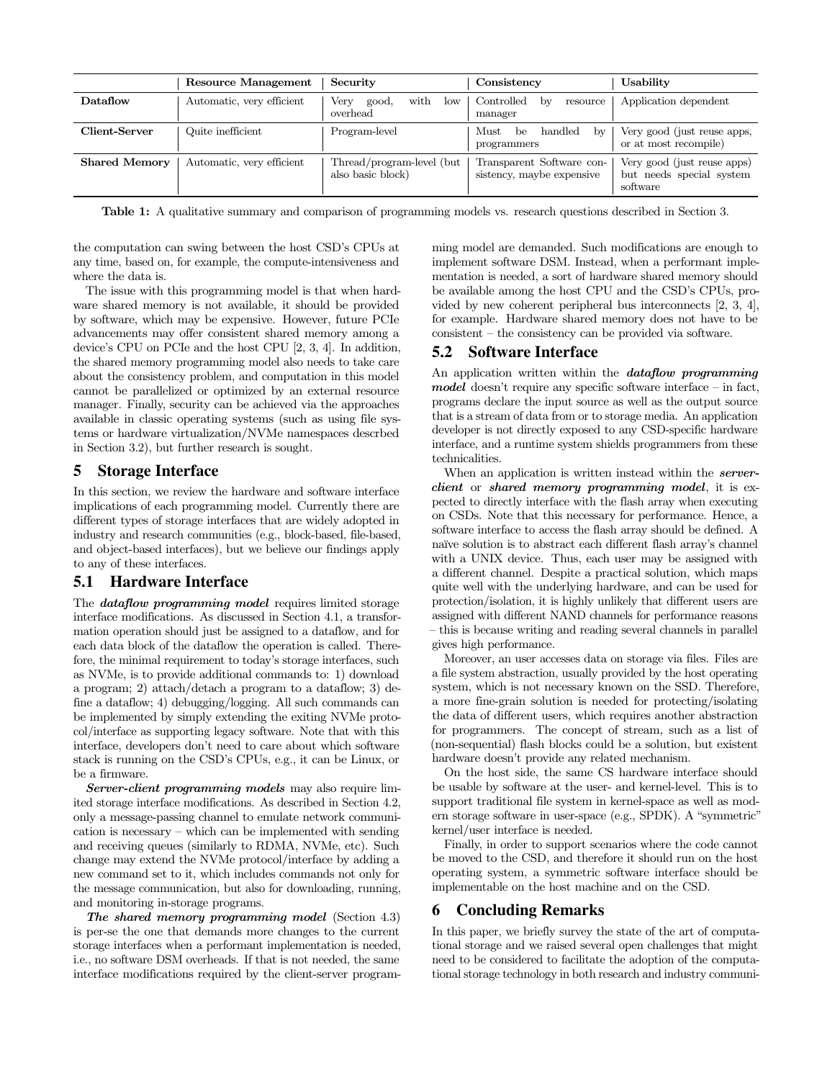|                      | Resource Management       | Security                                       | Consistency                                            | Usability                                                           |
|----------------------|---------------------------|------------------------------------------------|--------------------------------------------------------|---------------------------------------------------------------------|
| Dataflow             | Automatic, very efficient | with<br>Very<br>good,<br>low<br>overhead       | Controlled<br>resource<br>bv<br>manager                | Application dependent                                               |
| Client-Server        | Quite inefficient         | Program-level                                  | Must<br>handled<br>be<br>by<br>programmers             | Very good (just reuse apps,<br>or at most recompile)                |
| <b>Shared Memory</b> | Automatic, very efficient | Thread/program-level (but<br>also basic block) | Transparent Software con-<br>sistency, maybe expensive | Very good (just reuse apps)<br>but needs special system<br>software |

Table 1: A qualitative summary and comparison of programming models vs. research questions described in Section 3.

the computation can swing between the host CSD's CPUs at any time, based on, for example, the compute-intensiveness and where the data is.

The issue with this programming model is that when hardware shared memory is not available, it should be provided by software, which may be expensive. However, future PCIe advancements may offer consistent shared memory among a device's CPU on PCIe and the host CPU [2, 3, 4]. In addition, the shared memory programming model also needs to take care about the consistency problem, and computation in this model cannot be parallelized or optimized by an external resource manager. Finally, security can be achieved via the approaches available in classic operating systems (such as using file systems or hardware virtualization/NVMe namespaces descrbed in Section 3.2), but further research is sought.

# 5 Storage Interface

In this section, we review the hardware and software interface implications of each programming model. Currently there are different types of storage interfaces that are widely adopted in industry and research communities (e.g., block-based, file-based, and object-based interfaces), but we believe our findings apply to any of these interfaces.

#### 5.1 Hardware Interface

The **dataflow programming model** requires limited storage interface modifications. As discussed in Section 4.1, a transformation operation should just be assigned to a dataflow, and for each data block of the dataflow the operation is called. Therefore, the minimal requirement to today's storage interfaces, such as NVMe, is to provide additional commands to: 1) download a program; 2) attach/detach a program to a dataflow; 3) define a dataflow; 4) debugging/logging. All such commands can be implemented by simply extending the exiting NVMe protocol/interface as supporting legacy software. Note that with this interface, developers don't need to care about which software stack is running on the CSD's CPUs, e.g., it can be Linux, or be a firmware.

Server-client programming models may also require limited storage interface modifications. As described in Section 4.2, only a message-passing channel to emulate network communication is necessary – which can be implemented with sending and receiving queues (similarly to RDMA, NVMe, etc). Such change may extend the NVMe protocol/interface by adding a new command set to it, which includes commands not only for the message communication, but also for downloading, running, and monitoring in-storage programs.

The shared memory programming model (Section 4.3) is per-se the one that demands more changes to the current storage interfaces when a performant implementation is needed, i.e., no software DSM overheads. If that is not needed, the same interface modifications required by the client-server programming model are demanded. Such modifications are enough to implement software DSM. Instead, when a performant implementation is needed, a sort of hardware shared memory should be available among the host CPU and the CSD's CPUs, provided by new coherent peripheral bus interconnects [2, 3, 4], for example. Hardware shared memory does not have to be consistent – the consistency can be provided via software.

# 5.2 Software Interface

An application written within the **dataflow** programming model doesn't require any specific software interface – in fact, programs declare the input source as well as the output source that is a stream of data from or to storage media. An application developer is not directly exposed to any CSD-specific hardware interface, and a runtime system shields programmers from these technicalities.

When an application is written instead within the **server**client or shared memory programming model, it is expected to directly interface with the flash array when executing on CSDs. Note that this necessary for performance. Hence, a software interface to access the flash array should be defined. A naïve solution is to abstract each different flash array's channel with a UNIX device. Thus, each user may be assigned with a different channel. Despite a practical solution, which maps quite well with the underlying hardware, and can be used for protection/isolation, it is highly unlikely that different users are assigned with different NAND channels for performance reasons – this is because writing and reading several channels in parallel gives high performance.

Moreover, an user accesses data on storage via files. Files are a file system abstraction, usually provided by the host operating system, which is not necessary known on the SSD. Therefore, a more fine-grain solution is needed for protecting/isolating the data of different users, which requires another abstraction for programmers. The concept of stream, such as a list of (non-sequential) flash blocks could be a solution, but existent hardware doesn't provide any related mechanism.

On the host side, the same CS hardware interface should be usable by software at the user- and kernel-level. This is to support traditional file system in kernel-space as well as modern storage software in user-space (e.g., SPDK). A "symmetric" kernel/user interface is needed.

Finally, in order to support scenarios where the code cannot be moved to the CSD, and therefore it should run on the host operating system, a symmetric software interface should be implementable on the host machine and on the CSD.

#### 6 Concluding Remarks

In this paper, we briefly survey the state of the art of computational storage and we raised several open challenges that might need to be considered to facilitate the adoption of the computational storage technology in both research and industry communi